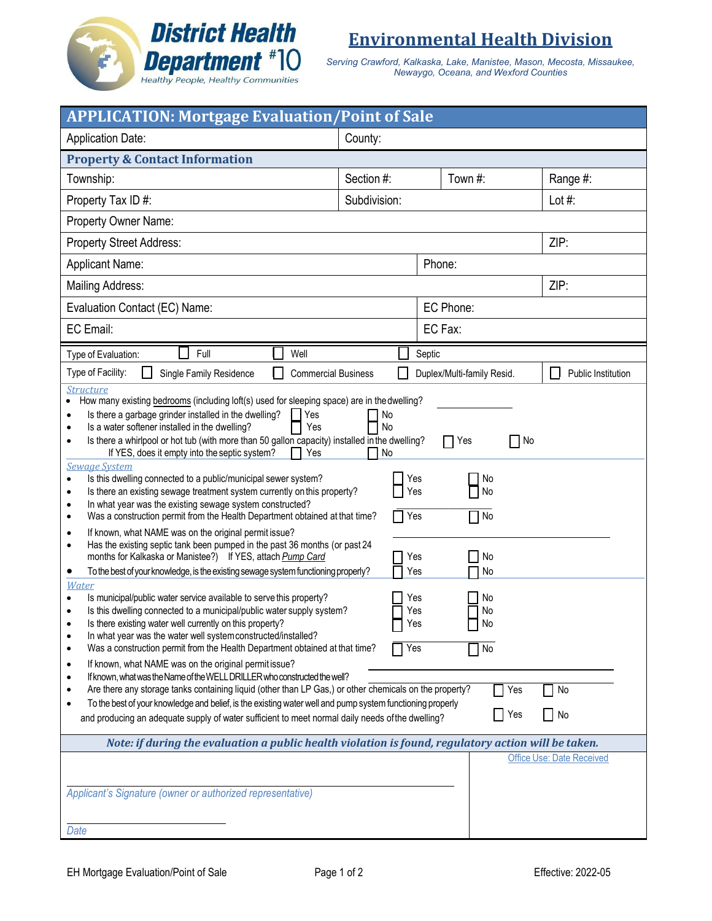

**Environmental Health Division**

*Serving Crawford, Kalkaska, Lake, Manistee, Mason, Mecosta, Missaukee, Newaygo, Oceana, and Wexford Counties*

| <b>APPLICATION: Mortgage Evaluation/Point of Sale</b>                                                                                                                                                                                                                                                                                                                                                                                                                                                                                                                                                                                                                                                                                                                                                                                                                                                                                                                                                                                                                                                                                                                                                                                                                                                                                                                                                                                                                                                                                                                                                                                                                                                                                                                                                                                                                                                                                                                                                                                                                                                                                                                                                                                                                                                                                                                               |            |                            |                                  |  |
|-------------------------------------------------------------------------------------------------------------------------------------------------------------------------------------------------------------------------------------------------------------------------------------------------------------------------------------------------------------------------------------------------------------------------------------------------------------------------------------------------------------------------------------------------------------------------------------------------------------------------------------------------------------------------------------------------------------------------------------------------------------------------------------------------------------------------------------------------------------------------------------------------------------------------------------------------------------------------------------------------------------------------------------------------------------------------------------------------------------------------------------------------------------------------------------------------------------------------------------------------------------------------------------------------------------------------------------------------------------------------------------------------------------------------------------------------------------------------------------------------------------------------------------------------------------------------------------------------------------------------------------------------------------------------------------------------------------------------------------------------------------------------------------------------------------------------------------------------------------------------------------------------------------------------------------------------------------------------------------------------------------------------------------------------------------------------------------------------------------------------------------------------------------------------------------------------------------------------------------------------------------------------------------------------------------------------------------------------------------------------------------|------------|----------------------------|----------------------------------|--|
| <b>Application Date:</b><br>County:                                                                                                                                                                                                                                                                                                                                                                                                                                                                                                                                                                                                                                                                                                                                                                                                                                                                                                                                                                                                                                                                                                                                                                                                                                                                                                                                                                                                                                                                                                                                                                                                                                                                                                                                                                                                                                                                                                                                                                                                                                                                                                                                                                                                                                                                                                                                                 |            |                            |                                  |  |
| <b>Property &amp; Contact Information</b>                                                                                                                                                                                                                                                                                                                                                                                                                                                                                                                                                                                                                                                                                                                                                                                                                                                                                                                                                                                                                                                                                                                                                                                                                                                                                                                                                                                                                                                                                                                                                                                                                                                                                                                                                                                                                                                                                                                                                                                                                                                                                                                                                                                                                                                                                                                                           |            |                            |                                  |  |
| Township:                                                                                                                                                                                                                                                                                                                                                                                                                                                                                                                                                                                                                                                                                                                                                                                                                                                                                                                                                                                                                                                                                                                                                                                                                                                                                                                                                                                                                                                                                                                                                                                                                                                                                                                                                                                                                                                                                                                                                                                                                                                                                                                                                                                                                                                                                                                                                                           | Section #: | Town #:                    | Range #:                         |  |
| Subdivision:<br>Property Tax ID #:                                                                                                                                                                                                                                                                                                                                                                                                                                                                                                                                                                                                                                                                                                                                                                                                                                                                                                                                                                                                                                                                                                                                                                                                                                                                                                                                                                                                                                                                                                                                                                                                                                                                                                                                                                                                                                                                                                                                                                                                                                                                                                                                                                                                                                                                                                                                                  |            |                            | Lot $#$ :                        |  |
| Property Owner Name:                                                                                                                                                                                                                                                                                                                                                                                                                                                                                                                                                                                                                                                                                                                                                                                                                                                                                                                                                                                                                                                                                                                                                                                                                                                                                                                                                                                                                                                                                                                                                                                                                                                                                                                                                                                                                                                                                                                                                                                                                                                                                                                                                                                                                                                                                                                                                                |            |                            |                                  |  |
| <b>Property Street Address:</b>                                                                                                                                                                                                                                                                                                                                                                                                                                                                                                                                                                                                                                                                                                                                                                                                                                                                                                                                                                                                                                                                                                                                                                                                                                                                                                                                                                                                                                                                                                                                                                                                                                                                                                                                                                                                                                                                                                                                                                                                                                                                                                                                                                                                                                                                                                                                                     |            |                            | ZIP:                             |  |
| <b>Applicant Name:</b><br>Phone:                                                                                                                                                                                                                                                                                                                                                                                                                                                                                                                                                                                                                                                                                                                                                                                                                                                                                                                                                                                                                                                                                                                                                                                                                                                                                                                                                                                                                                                                                                                                                                                                                                                                                                                                                                                                                                                                                                                                                                                                                                                                                                                                                                                                                                                                                                                                                    |            |                            |                                  |  |
| ZIP:<br>Mailing Address:                                                                                                                                                                                                                                                                                                                                                                                                                                                                                                                                                                                                                                                                                                                                                                                                                                                                                                                                                                                                                                                                                                                                                                                                                                                                                                                                                                                                                                                                                                                                                                                                                                                                                                                                                                                                                                                                                                                                                                                                                                                                                                                                                                                                                                                                                                                                                            |            |                            |                                  |  |
| EC Phone:<br>Evaluation Contact (EC) Name:                                                                                                                                                                                                                                                                                                                                                                                                                                                                                                                                                                                                                                                                                                                                                                                                                                                                                                                                                                                                                                                                                                                                                                                                                                                                                                                                                                                                                                                                                                                                                                                                                                                                                                                                                                                                                                                                                                                                                                                                                                                                                                                                                                                                                                                                                                                                          |            |                            |                                  |  |
| EC Email:<br>EC Fax:                                                                                                                                                                                                                                                                                                                                                                                                                                                                                                                                                                                                                                                                                                                                                                                                                                                                                                                                                                                                                                                                                                                                                                                                                                                                                                                                                                                                                                                                                                                                                                                                                                                                                                                                                                                                                                                                                                                                                                                                                                                                                                                                                                                                                                                                                                                                                                |            |                            |                                  |  |
| Full<br>Type of Evaluation:<br>Well                                                                                                                                                                                                                                                                                                                                                                                                                                                                                                                                                                                                                                                                                                                                                                                                                                                                                                                                                                                                                                                                                                                                                                                                                                                                                                                                                                                                                                                                                                                                                                                                                                                                                                                                                                                                                                                                                                                                                                                                                                                                                                                                                                                                                                                                                                                                                 |            | Septic                     |                                  |  |
| Type of Facility:<br><b>Single Family Residence</b><br><b>Commercial Business</b>                                                                                                                                                                                                                                                                                                                                                                                                                                                                                                                                                                                                                                                                                                                                                                                                                                                                                                                                                                                                                                                                                                                                                                                                                                                                                                                                                                                                                                                                                                                                                                                                                                                                                                                                                                                                                                                                                                                                                                                                                                                                                                                                                                                                                                                                                                   |            | Duplex/Multi-family Resid. | Public Institution               |  |
| <b>Structure</b><br>How many existing bedrooms (including loft(s) used for sleeping space) are in the dwelling?<br>Is there a garbage grinder installed in the dwelling?<br>Yes<br>No<br>Is a water softener installed in the dwelling?<br>Yes<br>No<br>$\bullet$<br>Is there a whirlpool or hot tub (with more than 50 gallon capacity) installed in the dwelling?<br>$\Box$ No<br>Yes<br>$\mathsf{I}$<br>$\bullet$<br>If YES, does it empty into the septic system?<br>No<br>Yes<br><b>Sewage System</b><br>Is this dwelling connected to a public/municipal sewer system?<br>Yes<br>No<br>$\bullet$<br>No<br>Is there an existing sewage treatment system currently on this property?<br>Yes<br>$\bullet$<br>In what year was the existing sewage system constructed?<br>$\bullet$<br>Was a construction permit from the Health Department obtained at that time?<br>Yes<br>No<br>$\Box$<br>٠<br>If known, what NAME was on the original permit issue?<br>$\bullet$<br>Has the existing septic tank been pumped in the past 36 months (or past 24<br>$\bullet$<br>months for Kalkaska or Manistee?) If YES, attach Pump Card<br>No<br>Yes<br>To the best of your knowledge, is the existing sewage system functioning properly?<br>Yes<br>No<br>٠<br><u>Water</u><br>Is municipal/public water service available to serve this property?<br>No<br>Yes<br>$\bullet$<br>Is this dwelling connected to a municipal/public water supply system?<br>Yes<br>No<br>No<br>Is there existing water well currently on this property?<br>Yes<br>In what year was the water well system constructed/installed?<br>$\bullet$<br>Was a construction permit from the Health Department obtained at that time?<br>Yes<br>No<br>$\bullet$<br>If known, what NAME was on the original permit issue?<br>$\bullet$<br>If known, what was the Name of the WELL DRILLER who constructed the well?<br>$\bullet$<br>Are there any storage tanks containing liquid (other than LP Gas,) or other chemicals on the property?<br>Yes<br>No<br>$\bullet$<br>To the best of your knowledge and belief, is the existing water well and pump system functioning properly<br>$\bullet$<br>Yes<br>  No<br>and producing an adequate supply of water sufficient to meet normal daily needs of the dwelling?<br>Note: if during the evaluation a public health violation is found, regulatory action will be taken. |            |                            |                                  |  |
|                                                                                                                                                                                                                                                                                                                                                                                                                                                                                                                                                                                                                                                                                                                                                                                                                                                                                                                                                                                                                                                                                                                                                                                                                                                                                                                                                                                                                                                                                                                                                                                                                                                                                                                                                                                                                                                                                                                                                                                                                                                                                                                                                                                                                                                                                                                                                                                     |            |                            | <b>Office Use: Date Received</b> |  |
| Applicant's Signature (owner or authorized representative)                                                                                                                                                                                                                                                                                                                                                                                                                                                                                                                                                                                                                                                                                                                                                                                                                                                                                                                                                                                                                                                                                                                                                                                                                                                                                                                                                                                                                                                                                                                                                                                                                                                                                                                                                                                                                                                                                                                                                                                                                                                                                                                                                                                                                                                                                                                          |            |                            |                                  |  |
| Date                                                                                                                                                                                                                                                                                                                                                                                                                                                                                                                                                                                                                                                                                                                                                                                                                                                                                                                                                                                                                                                                                                                                                                                                                                                                                                                                                                                                                                                                                                                                                                                                                                                                                                                                                                                                                                                                                                                                                                                                                                                                                                                                                                                                                                                                                                                                                                                |            |                            |                                  |  |